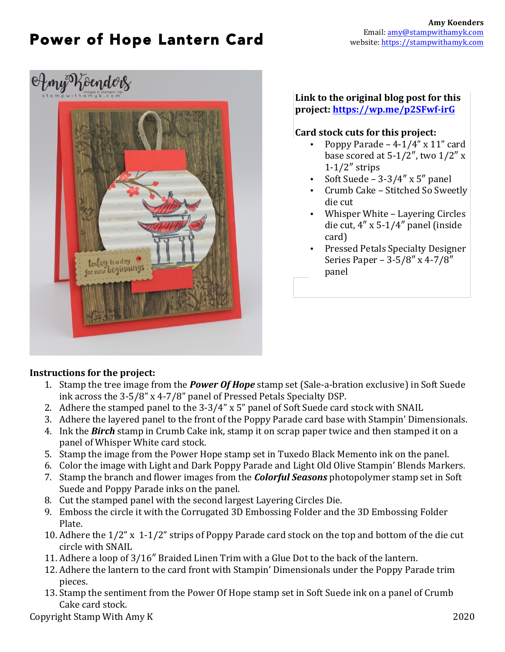# Power of Hope Lantern Card



#### **Link to the original blog post for this project: https://wp.me/p2SFwf-irG**

### **Card stock cuts for this project:**

- Poppy Parade  $-4-1/4$ " x  $11$ " card base scored at  $5-1/2$ ", two  $1/2$ " x 1-1/2″ strips
- Soft Suede  $3-3/4$ " x  $5$ " panel
- Crumb Cake Stitched So Sweetly die cut
- Whisper White Layering Circles die cut, 4″ x 5-1/4″ panel (inside card)
- Pressed Petals Specialty Designer Series Paper – 3-5/8″ x 4-7/8″ panel

### **Instructions for the project:**

- 1. Stamp the tree image from the **Power Of Hope** stamp set (Sale-a-bration exclusive) in Soft Suede ink across the 3-5/8" x 4-7/8" panel of Pressed Petals Specialty DSP.
- 2. Adhere the stamped panel to the  $3-3/4$ " x 5" panel of Soft Suede card stock with SNAIL
- 3. Adhere the layered panel to the front of the Poppy Parade card base with Stampin' Dimensionals.
- 4. Ink the **Birch** stamp in Crumb Cake ink, stamp it on scrap paper twice and then stamped it on a panel of Whisper White card stock.
- 5. Stamp the image from the Power Hope stamp set in Tuxedo Black Memento ink on the panel.
- 6. Color the image with Light and Dark Poppy Parade and Light Old Olive Stampin' Blends Markers.
- 7. Stamp the branch and flower images from the *Colorful Seasons* photopolymer stamp set in Soft Suede and Poppy Parade inks on the panel.
- 8. Cut the stamped panel with the second largest Layering Circles Die.
- 9. Emboss the circle it with the Corrugated 3D Embossing Folder and the 3D Embossing Folder Plate.
- 10. Adhere the  $1/2$ " x  $1-1/2$ " strips of Poppy Parade card stock on the top and bottom of the die cut circle with SNAIL
- 11. Adhere a loop of 3/16" Braided Linen Trim with a Glue Dot to the back of the lantern.
- 12. Adhere the lantern to the card front with Stampin' Dimensionals under the Poppy Parade trim pieces.
- 13. Stamp the sentiment from the Power Of Hope stamp set in Soft Suede ink on a panel of Crumb Cake card stock.

Copyright Stamp With Amy K 2020